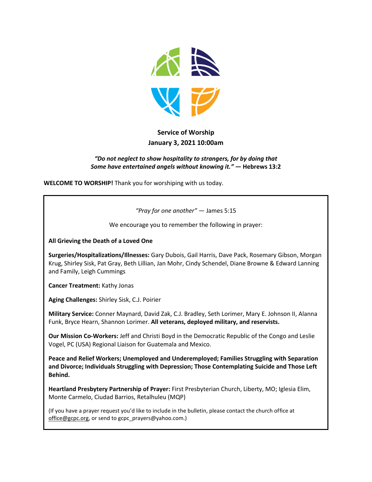

# **Service of Worship January 3, 2021 10:00am**

#### *"Do not neglect to show hospitality to strangers, for by doing that Some have entertained angels without knowing it."* **— Hebrews 13:2**

**WELCOME TO WORSHIP!** Thank you for worshiping with us today.

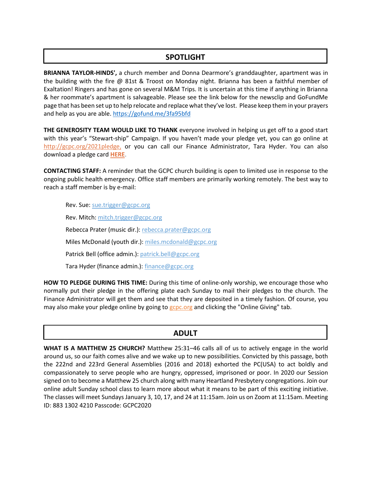## **SPOTLIGHT**

**BRIANNA TAYLOR-HINDS',** a church member and Donna Dearmore's granddaughter, apartment was in the building with the fire @ 81st & Troost on Monday night. Brianna has been a faithful member of Exaltation! Ringers and has gone on several M&M Trips. It is uncertain at this time if anything in Brianna & her roommate's apartment is salvageable. Please see the link below for the newsclip and GoFundMe page that has been set up to help relocate and replace what they've lost. Please keep them in your prayers and help as you are able.<https://gofund.me/3fa95bfd>

**THE GENEROSITY TEAM WOULD LIKE TO THANK** everyone involved in helping us get off to a good start with this year's "Stewart-ship" Campaign. If you haven't made your pledge yet, you can go online at [http://gcpc.org/2021pledge,](https://t.e2ma.net/click/0sw63e/8mprdig/sqpd0u) or you can call our Finance Administrator, Tara Hyder. You can also download a pledge card **[HERE](https://t.e2ma.net/click/0sw63e/8mprdig/8iqd0u)**.

**CONTACTING STAFF:** A reminder that the GCPC church building is open to limited use in response to the ongoing public health emergency. Office staff members are primarily working remotely. The best way to reach a staff member is by e-mail:

Rev. Sue: [sue.trigger@gcpc.org](mailto:sue.trigger@gcpc.org) Rev. Mitch: [mitch.trigger@gcpc.org](mailto:mitch.trigger@gcpc.org) Rebecca Prater (music dir.): [rebecca.prater@gcpc.org](mailto:rebecca.prater@gcpc.org) Miles McDonald (youth dir.): [miles.mcdonald@gcpc.org](mailto:miles.mcdonald@gcpc.org) Patrick Bell (office admin.): [patrick.bell@gcpc.org](mailto:patrick.bell@gcpc.org) Tara Hyder (finance admin.): [finance@gcpc.org](mailto:finance@gcpc.org)

**HOW TO PLEDGE DURING THIS TIME:** During this time of online-only worship, we encourage those who normally put their pledge in the offering plate each Sunday to mail their pledges to the church. The Finance Administrator will get them and see that they are deposited in a timely fashion. Of course, you may also make your pledge online by going to [gcpc.org](https://gcpc.org/about-us/donate.html) and clicking the "Online Giving" tab.

### **ADULT**

**WHAT IS A MATTHEW 25 CHURCH?** Matthew 25:31–46 calls all of us to actively engage in the world around us, so our faith comes alive and we wake up to new possibilities. Convicted by this passage, both the 222nd and 223rd General Assemblies (2016 and 2018) exhorted the PC(USA) to act boldly and compassionately to serve people who are hungry, oppressed, imprisoned or poor. In 2020 our Session signed on to become a Matthew 25 church along with many Heartland Presbytery congregations. Join our online adult Sunday school class to learn more about what it means to be part of this exciting initiative. The classes will meet Sundays January 3, 10, 17, and 24 at 11:15am. Join us on Zoom at 11:15am. Meeting ID: 883 1302 4210 Passcode: GCPC2020